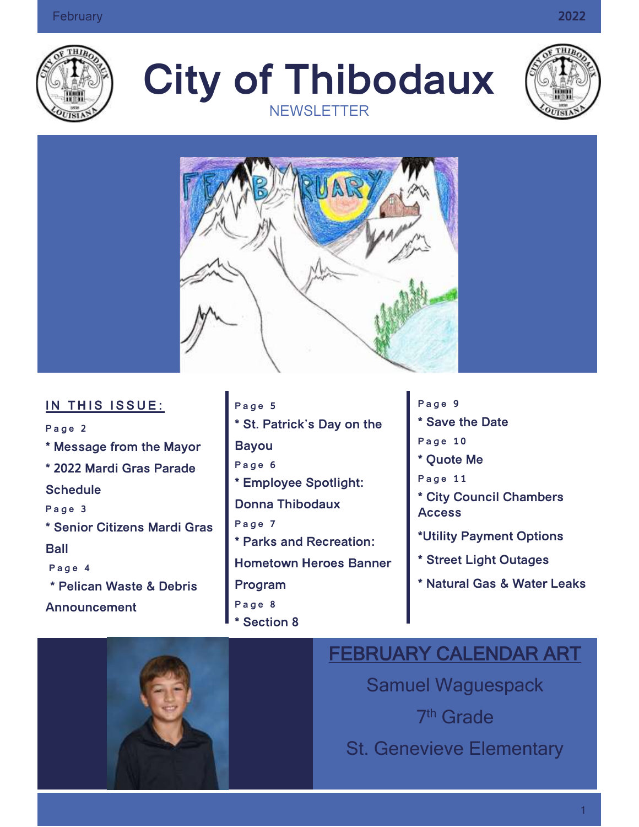

**City of Thibodaux** NEWSLETTER





#### **IN THIS ISSUE:**

- Page 2 **\* Message from the Mayor \* 2022 Mardi Gras Parade Schedule P a g e 3 \* Senior Citizens Mardi Gras Ball** Page 4 **\* Pelican Waste & Debris Announcement**
- **P a g e 5 \* St. Patrick's Day on the Bayou P a g e 6 \* Employee Spotlight: Donna Thibodaux P a g e 7 \* Parks and Recreation: Hometown Heroes Banner Program P a g e 8 \* Section 8**

[Grab your reader's attention with a great

quote from

document or use this

the  $\mathbf{r}$ 

- **P a g e 9**
- **\* Save the Date**
- **P a g e 1 0**
- **\* Quote Me**
- **P a g e 1 1**
- **\* City Council Chambers Access**
- **\*Utility Payment Options**
- **\* Street Light Outages**
- **\* Natural Gas & Water Leaks**

#### FEBRUARY CALENDAR ART

Samuel Waguespack 7<sup>th</sup> Grade St. Genevieve Elementary

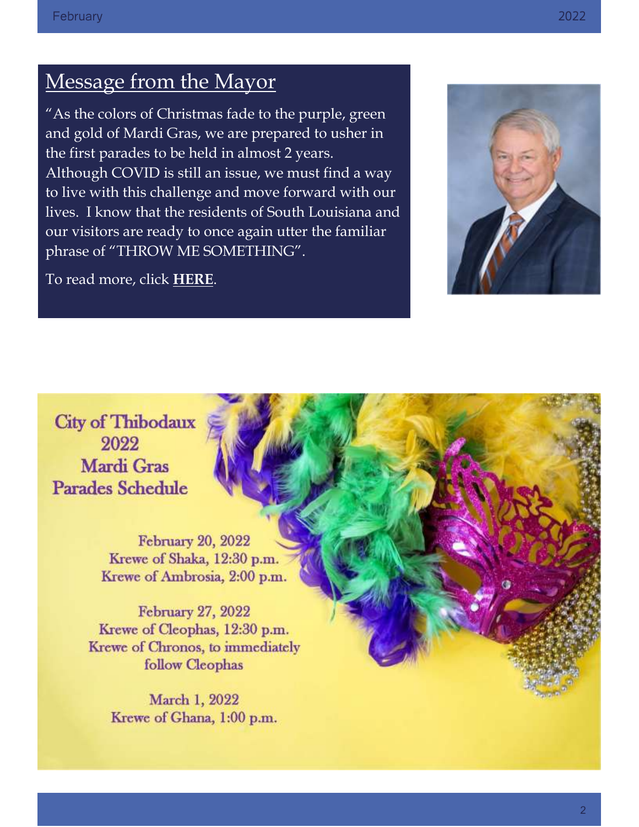## Message from the Mayor

"As the colors of Christmas fade to the purple, green and gold of Mardi Gras, we are prepared to usher in the first parades to be held in almost 2 years. Although COVID is still an issue, we must find a way to live with this challenge and move forward with our lives. I know that the residents of South Louisiana and our visitors are ready to once again utter the familiar phrase of "THROW ME SOMETHING".

#### To read more, click **[HERE](https://www.ci.thibodaux.la.us/forms/departments/marketing/linked_files/CHAMBER%20INSIGHT%20-%20FEBRUARY%202022.pdf)**.



**City of Thibodaux** 2022 Mardi Gras **Parades Schedule** 

> February 20, 2022 Krewe of Shaka, 12:30 p.m. Krewe of Ambrosia, 2:00 p.m.

February 27, 2022 Krewe of Cleophas, 12:30 p.m. Krewe of Chronos, to immediately follow Cleophas

> March 1, 2022 Krewe of Ghana, 1:00 p.m.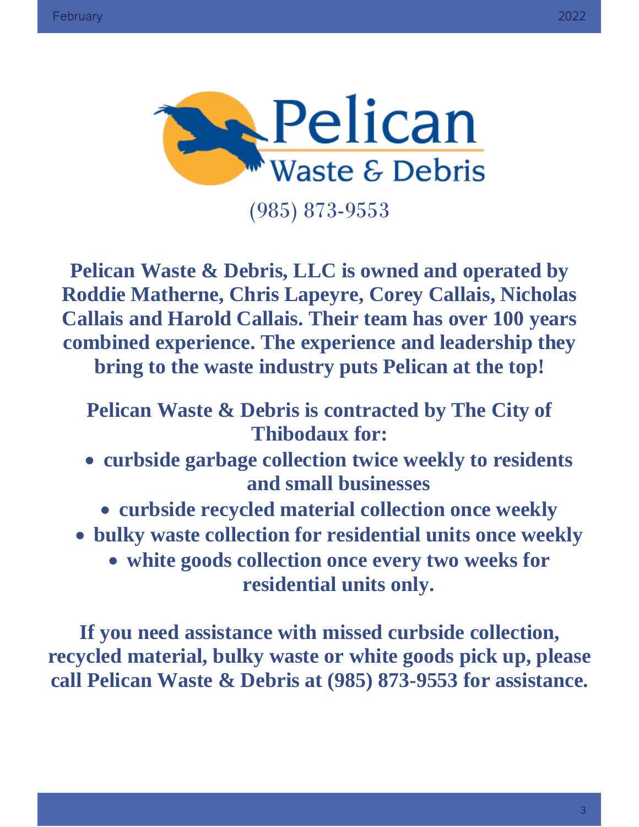

**Pelican Waste & Debris, LLC is owned and operated by Roddie Matherne, Chris Lapeyre, Corey Callais, Nicholas Callais and Harold Callais. Their team has over 100 years combined experience. The experience and leadership they bring to the waste industry puts Pelican at the top!**

## **Pelican Waste & Debris is contracted by The City of Thibodaux for:**

- **curbside garbage collection twice weekly to residents and small businesses**
	- **curbside recycled material collection once weekly**
- **bulky waste collection for residential units once weekly**
	- **white goods collection once every two weeks for residential units only.**

**If you need assistance with missed curbside collection, recycled material, bulky waste or white goods pick up, please call Pelican Waste & Debris at (985) 873-9553 for assistance.**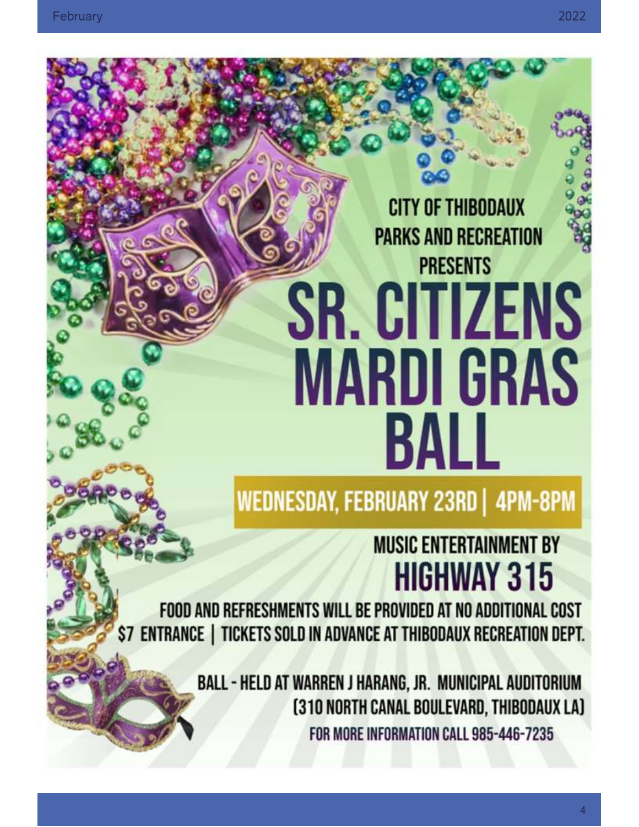# **CITY OF THIBODAUX PARKS AND RECREATION PRESENTS** SR. CITIZENS **MARDI GRAS** BALL

**WEDNESDAY, FEBRUARY 23RD | 4PM-8PM** 

## **MUSIC ENTERTAINMENT BY HIGHWAY 315**

FOOD AND REFRESHMENTS WILL BE PROVIDED AT NO ADDITIONAL COST \$7 ENTRANCE | TICKETS SOLD IN ADVANCE AT THIBODAUX RECREATION DEPT.

> **BALL - HELD AT WARREN J HARANG, JR. MUNICIPAL AUDITORIUM** [310 NORTH CANAL BOULEVARD, THIBODAUX LA] FOR MORE INFORMATION CALL 985-446-7235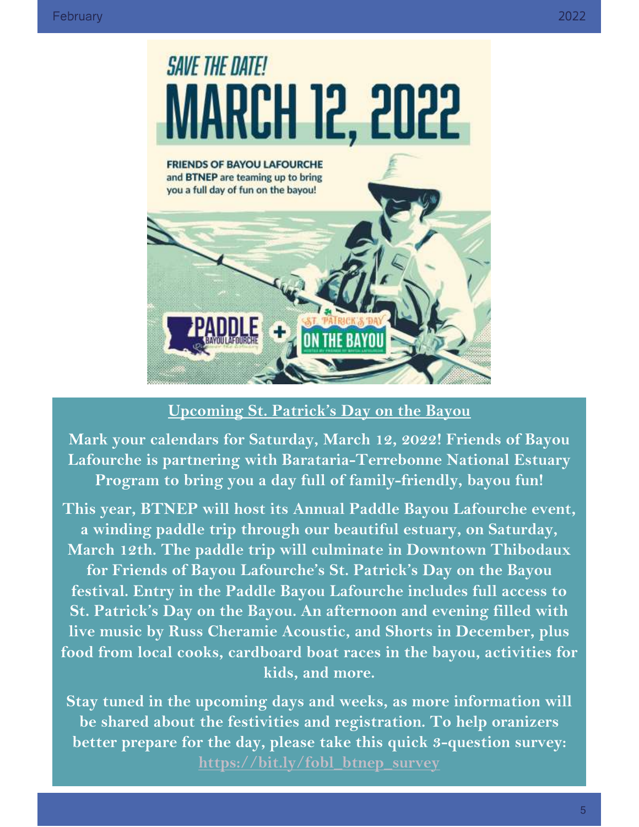

#### **Upcoming St. Patrick's Day on the Bayou**

**Mark your calendars for Saturday, March 12, 2022! Friends of Bayou Lafourche is partnering with Barataria-Terrebonne National Estuary Program to bring you a day full of family-friendly, bayou fun!**

**This year, BTNEP will host its Annual Paddle Bayou Lafourche event, a winding paddle trip through our beautiful estuary, on Saturday, March 12th. The paddle trip will culminate in Downtown Thibodaux for Friends of Bayou Lafourche's St. Patrick's Day on the Bayou festival. Entry in the Paddle Bayou Lafourche includes full access to St. Patrick's Day on the Bayou. An afternoon and evening filled with live music by Russ Cheramie Acoustic, and Shorts in December, plus food from local cooks, cardboard boat races in the bayou, activities for kids, and more.**

**Stay tuned in the upcoming days and weeks, as more information will be shared about the festivities and registration. To help oranizers better prepare for the day, please take this quick 3-question survey: [https://bit.ly/fobl\\_btnep\\_survey](https://bit.ly/fobl_btnep_survey)**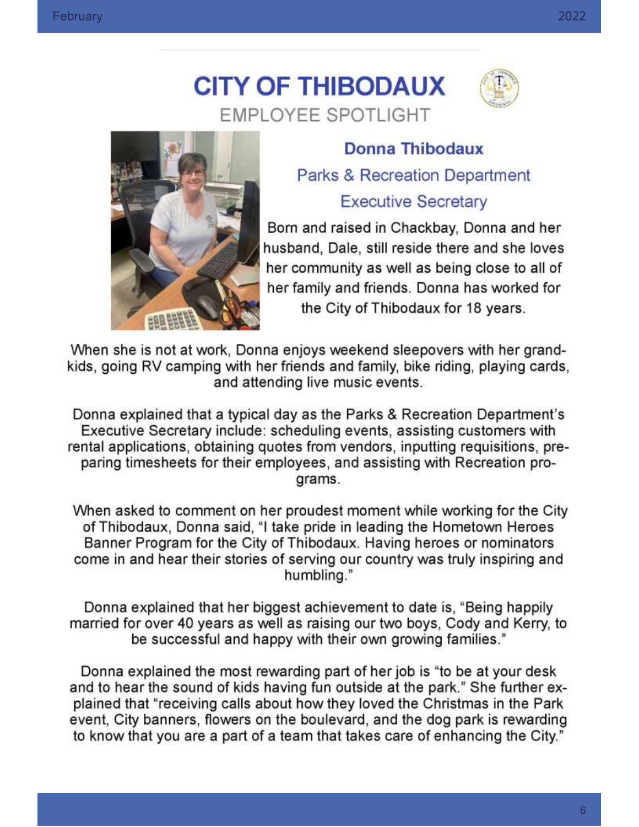## **CITY OF THIBODAUX EMPLOYEE SPOTLIGHT**





#### Donna Thibodaux

Parks & Recreation Department

**Executive Secretary** 

Born and raised in Chackbay, Donna and her husband, Dale, still reside there and she loves her community as well as being close to all of her family and friends. Donna has worked for the City of Thibodaux for 18 years.

When she is not at work, Donna enjoys weekend sleepovers with her grandkids, going RV camping with her friends and family, bike riding, playing cards, and attending live music events.

Donna explained that a typical day as the Parks & Recreation Department's Executive Secretary include: scheduling events, assisting customers with rental applications, obtaining quotes from vendors, inputting requisitions, preparing timesheets for their employees, and assisting with Recreation programs.

When asked to comment on her proudest moment while working for the City of Thibodaux, Donna said, "I take pride in leading the Hometown Heroes Banner Program for the City of Thibodaux. Having heroes or nominators come in and hear their stories of serving our country was truly inspiring and humbling."

Donna explained that her biggest achievement to date is, "Being happily married for over 40 years as well as raising our two boys, Cody and Kerry, to be successful and happy with their own growing families."

Donna explained the most rewarding part of her job is "to be at your desk and to hear the sound of kids having fun outside at the park." She further explained that "receiving calls about how they loved the Christmas in the Park event, City banners, flowers on the boulevard, and the dog park is rewarding to know that you are a part of a team that takes care of enhancing the City."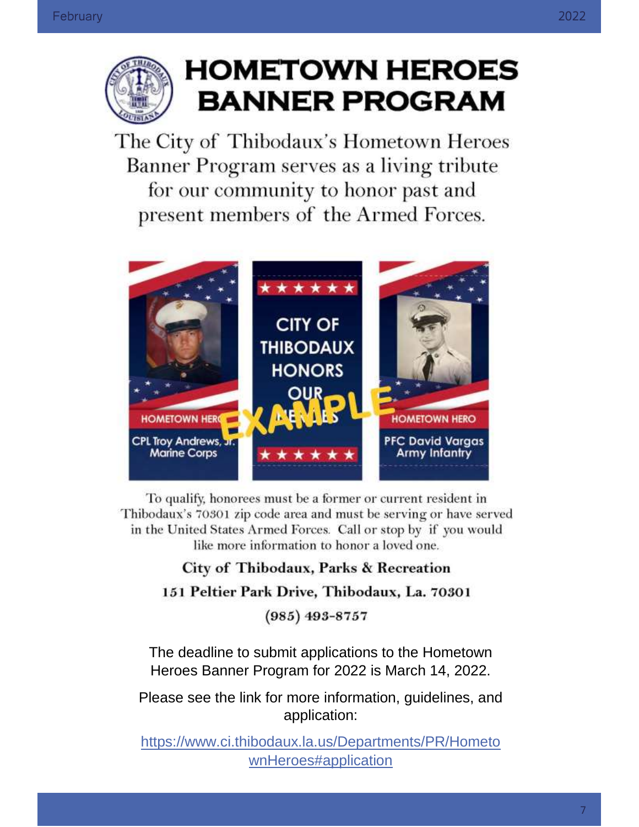

# **HOMETOWN HEROES BANNER PROGRAM**

The City of Thibodaux's Hometown Heroes Banner Program serves as a living tribute for our community to honor past and present members of the Armed Forces.



To qualify, honorees must be a former or current resident in Thibodaux's 70301 zip code area and must be serving or have served in the United States Armed Forces. Call or stop by if you would like more information to honor a loved one.

#### City of Thibodaux, Parks & Recreation 151 Peltier Park Drive, Thibodaux, La. 70301

 $(985)$  493-8757

The deadline to submit applications to the Hometown Heroes Banner Program for 2022 is March 14, 2022.

Please see the link for more information, guidelines, and application:

[https://www.ci.thibodaux.la.us/Departments/PR/Hometo](https://www.ci.thibodaux.la.us/Departments/PR/HometownHeroes%23application) [wnHeroes#application](https://www.ci.thibodaux.la.us/Departments/PR/HometownHeroes%23application)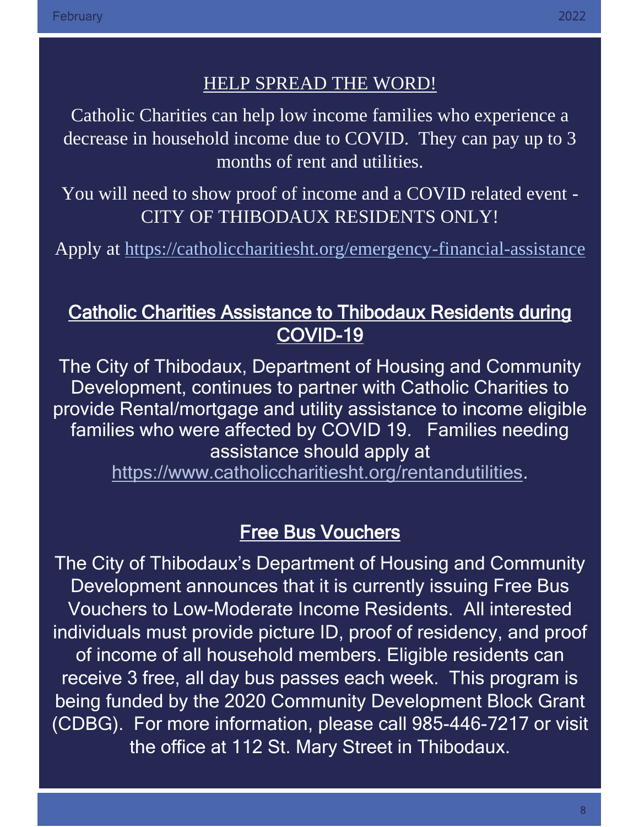#### HELP SPREAD THE WORD!

Catholic Charities can help low income families who experience a decrease in household income due to COVID. They can pay up to 3 months of rent and utilities.

You will need to show proof of income and a COVID related event - CITY OF THIBODAUX RESIDENTS ONLY!

Apply at<https://catholiccharitiesht.org/emergency-financial-assistance>

## Catholic Charities Assistance to Thibodaux Residents during COVID-19

The City of Thibodaux, Department of Housing and Community Development, continues to partner with Catholic Charities to provide Rental/mortgage and utility assistance to income eligible families who were affected by COVID 19. Families needing assistance should apply at

[https://www.catholiccharitiesht.org/rentandutilities.](https://www.catholiccharitiesht.org/rentandutilities)

#### **Free Bus Vouchers**

The City of Thibodaux's Department of Housing and Community Development announces that it is currently issuing Free Bus Vouchers to Low-Moderate Income Residents. All interested individuals must provide picture ID, proof of residency, and proof of income of all household members. Eligible residents can receive 3 free, all day bus passes each week. This program is being funded by the 2020 Community Development Block Grant (CDBG). For more information, please call 985-446-7217 or visit the office at 112 St. Mary Street in Thibodaux.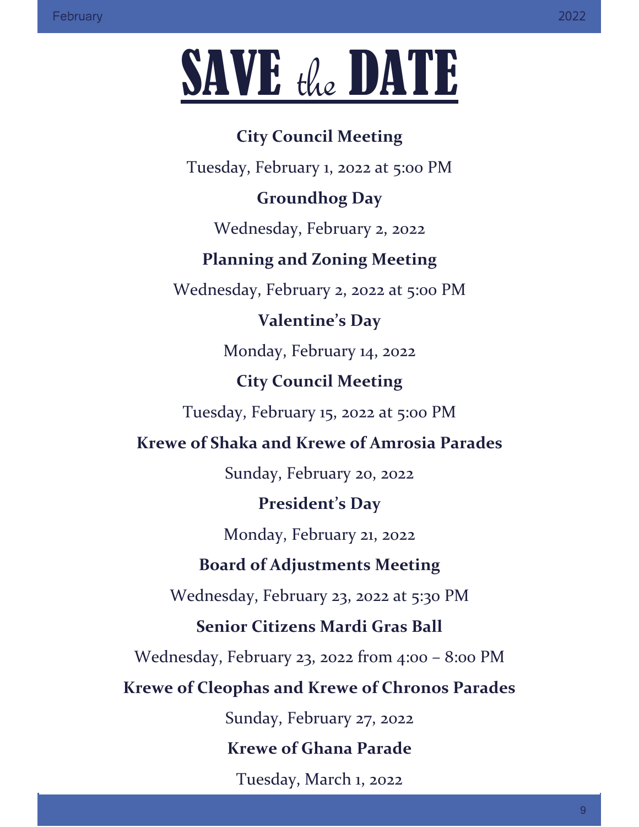# SAVE the DATE

## **City Council Meeting**

Tuesday, February 1, 2022 at 5:00 PM

## **Groundhog Day**

Wednesday, February 2, 2022

## **Planning and Zoning Meeting**

Wednesday, February 2, 2022 at 5:00 PM

## **Valentine's Day**

Monday, February 14, 2022

#### **City Council Meeting**

Tuesday, February 15, 2022 at 5:00 PM

## **Krewe of Shaka and Krewe of Amrosia Parades**

Sunday, February 20, 2022

## **President's Day**

Monday, February 21, 2022

#### **Board of Adjustments Meeting**

Wednesday, February 23, 2022 at 5:30 PM

## **Senior Citizens Mardi Gras Ball**

Wednesday, February 23, 2022 from 4:00 – 8:00 PM

**Krewe of Cleophas and Krewe of Chronos Parades**

Sunday, February 27, 2022

## **Krewe of Ghana Parade**

Tuesday, March 1, 2022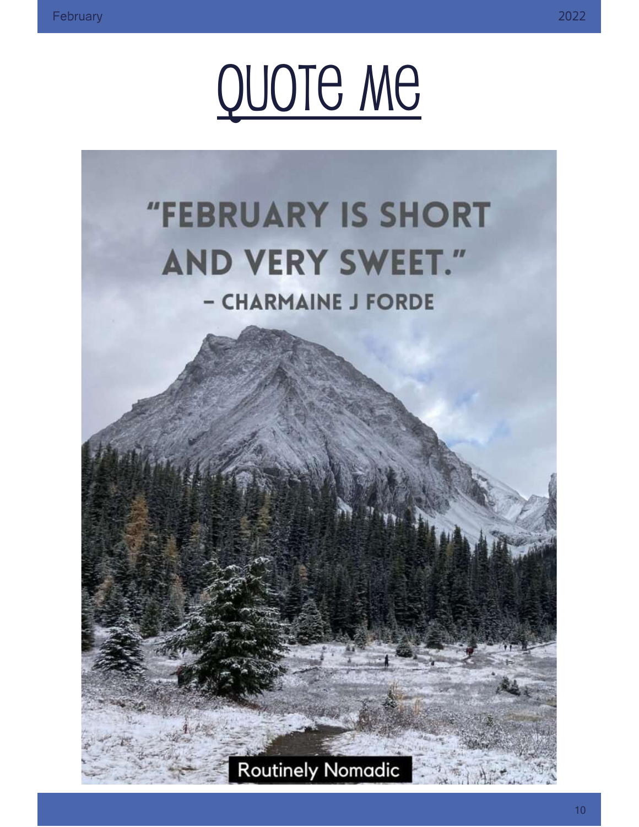